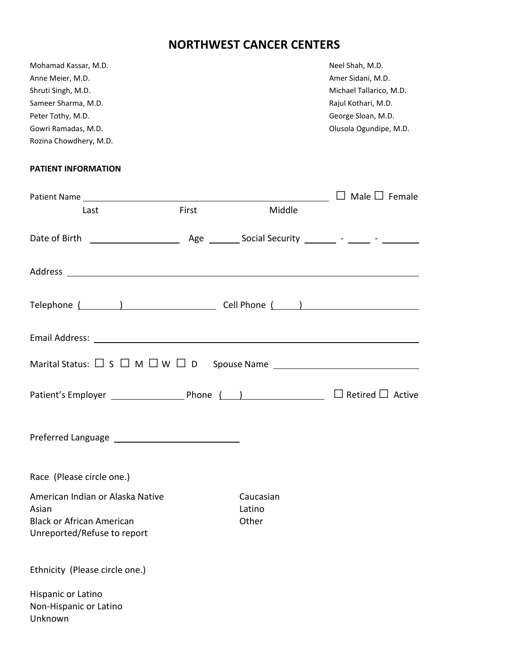## **NORTHWEST CANCER CENTERS**

| Mohamad Kassar, M.D.<br>Anne Meier, M.D.<br>Shruti Singh, M.D.<br>Sameer Sharma, M.D.<br>Peter Tothy, M.D.<br>Gowri Ramadas, M.D.<br>Rozina Chowdhery, M.D.                                                                          |       |                              | Neel Shah, M.D.<br>Amer Sidani, M.D.<br>Michael Tallarico, M.D.<br>Rajul Kothari, M.D.<br>George Sloan, M.D.<br>Olusola Ogundipe, M.D. |
|--------------------------------------------------------------------------------------------------------------------------------------------------------------------------------------------------------------------------------------|-------|------------------------------|----------------------------------------------------------------------------------------------------------------------------------------|
| <b>PATIENT INFORMATION</b>                                                                                                                                                                                                           |       |                              |                                                                                                                                        |
|                                                                                                                                                                                                                                      |       |                              | $\Box$ Male $\Box$ Female                                                                                                              |
| Last                                                                                                                                                                                                                                 | First | Middle                       |                                                                                                                                        |
|                                                                                                                                                                                                                                      |       |                              |                                                                                                                                        |
|                                                                                                                                                                                                                                      |       |                              |                                                                                                                                        |
|                                                                                                                                                                                                                                      |       |                              |                                                                                                                                        |
| Email Address: <u>contract the contract of the contract of the contract of the contract of the contract of the contract of the contract of the contract of the contract of the contract of the contract of the contract of the c</u> |       |                              |                                                                                                                                        |
| Marital Status: $\square$ S $\square$ M $\square$ W $\square$ D                                                                                                                                                                      |       |                              |                                                                                                                                        |
|                                                                                                                                                                                                                                      |       |                              | $\Box$ Retired $\Box$ Active                                                                                                           |
|                                                                                                                                                                                                                                      |       |                              |                                                                                                                                        |
| Race (Please circle one.)                                                                                                                                                                                                            |       |                              |                                                                                                                                        |
| American Indian or Alaska Native<br>Asian<br><b>Black or African American</b><br>Unreported/Refuse to report                                                                                                                         |       | Caucasian<br>Latino<br>Other |                                                                                                                                        |
| Ethnicity (Please circle one.)                                                                                                                                                                                                       |       |                              |                                                                                                                                        |

Hispanic or Latino Non-Hispanic or Latino Unknown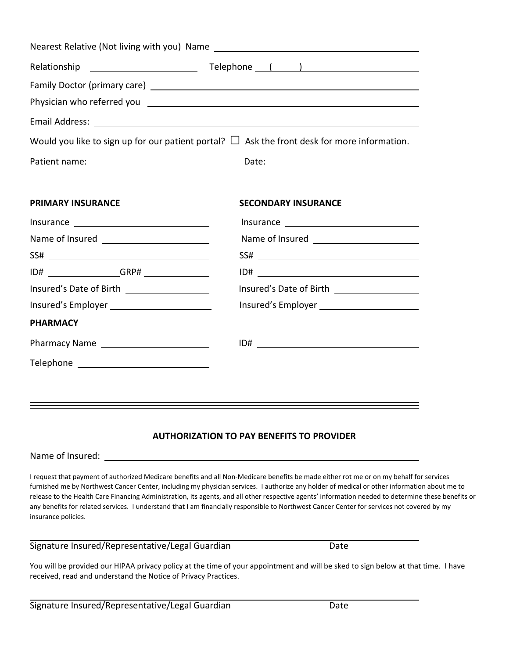|                                                                                                                                                                                                                                | Physician who referred you <b>example and the control of the control of the control of the control of the control of the control of the control of the control of the control of the control of the control of the control of th</b> |  |  |
|--------------------------------------------------------------------------------------------------------------------------------------------------------------------------------------------------------------------------------|--------------------------------------------------------------------------------------------------------------------------------------------------------------------------------------------------------------------------------------|--|--|
| Email Address: Lawrence and Contract and Contract and Contract and Contract and Contract and Contract and Contract and Contract and Contract and Contract and Contract and Contract and Contract and Contract and Contract and |                                                                                                                                                                                                                                      |  |  |
| Would you like to sign up for our patient portal? $\Box$ Ask the front desk for more information.                                                                                                                              |                                                                                                                                                                                                                                      |  |  |
|                                                                                                                                                                                                                                |                                                                                                                                                                                                                                      |  |  |
|                                                                                                                                                                                                                                |                                                                                                                                                                                                                                      |  |  |
| <b>PRIMARY INSURANCE</b>                                                                                                                                                                                                       | <b>SECONDARY INSURANCE</b>                                                                                                                                                                                                           |  |  |
|                                                                                                                                                                                                                                |                                                                                                                                                                                                                                      |  |  |
|                                                                                                                                                                                                                                |                                                                                                                                                                                                                                      |  |  |
|                                                                                                                                                                                                                                |                                                                                                                                                                                                                                      |  |  |
|                                                                                                                                                                                                                                |                                                                                                                                                                                                                                      |  |  |
|                                                                                                                                                                                                                                |                                                                                                                                                                                                                                      |  |  |
|                                                                                                                                                                                                                                |                                                                                                                                                                                                                                      |  |  |
| <b>PHARMACY</b>                                                                                                                                                                                                                |                                                                                                                                                                                                                                      |  |  |
| Pharmacy Name<br><u> </u>                                                                                                                                                                                                      |                                                                                                                                                                                                                                      |  |  |
|                                                                                                                                                                                                                                |                                                                                                                                                                                                                                      |  |  |

## **AUTHORIZATION TO PAY BENEFITS TO PROVIDER**

Name of Insured:

I request that payment of authorized Medicare benefits and all Non-Medicare benefits be made either rot me or on my behalf for services furnished me by Northwest Cancer Center, including my physician services. I authorize any holder of medical or other information about me to release to the Health Care Financing Administration, its agents, and all other respective agents' information needed to determine these benefits or any benefits for related services. I understand that I am financially responsible to Northwest Cancer Center for services not covered by my insurance policies.

Signature Insured/Representative/Legal Guardian Date

You will be provided our HIPAA privacy policy at the time of your appointment and will be sked to sign below at that time. I have received, read and understand the Notice of Privacy Practices.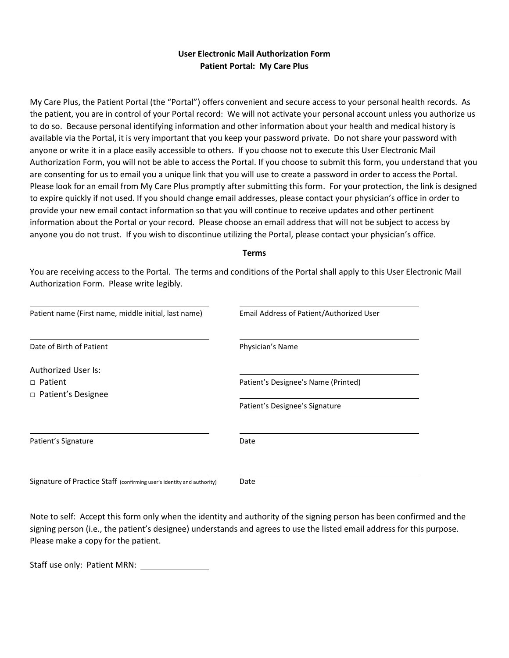## **User Electronic Mail Authorization Form Patient Portal: My Care Plus**

My Care Plus, the Patient Portal (the "Portal") offers convenient and secure access to your personal health records. As the patient, you are in control of your Portal record: We will not activate your personal account unless you authorize us to do so. Because personal identifying information and other information about your health and medical history is available via the Portal, it is very important that you keep your password private. Do not share your password with anyone or write it in a place easily accessible to others. If you choose not to execute this User Electronic Mail Authorization Form, you will not be able to access the Portal. If you choose to submit this form, you understand that you are consenting for us to email you a unique link that you will use to create a password in order to access the Portal. Please look for an email from My Care Plus promptly after submitting this form. For your protection, the link is designed to expire quickly if not used. If you should change email addresses, please contact your physician's office in order to provide your new email contact information so that you will continue to receive updates and other pertinent information about the Portal or your record. Please choose an email address that will not be subject to access by anyone you do not trust. If you wish to discontinue utilizing the Portal, please contact your physician's office.

#### **Terms**

You are receiving access to the Portal. The terms and conditions of the Portal shall apply to this User Electronic Mail Authorization Form. Please write legibly.

| Patient name (First name, middle initial, last name)                   | Email Address of Patient/Authorized User |
|------------------------------------------------------------------------|------------------------------------------|
| Date of Birth of Patient                                               | Physician's Name                         |
| <b>Authorized User Is:</b>                                             |                                          |
| □ Patient                                                              | Patient's Designee's Name (Printed)      |
| □ Patient's Designee                                                   |                                          |
|                                                                        | Patient's Designee's Signature           |
| Patient's Signature                                                    | Date                                     |
| Signature of Practice Staff (confirming user's identity and authority) | Date                                     |
|                                                                        |                                          |

Note to self: Accept this form only when the identity and authority of the signing person has been confirmed and the signing person (i.e., the patient's designee) understands and agrees to use the listed email address for this purpose. Please make a copy for the patient.

Staff use only: Patient MRN: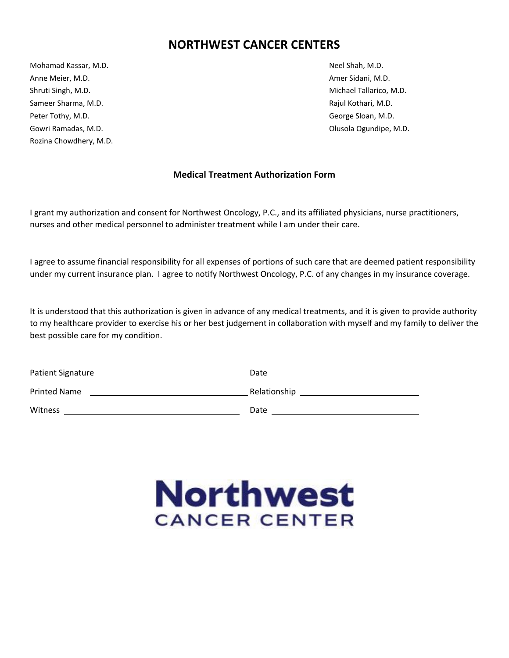## **NORTHWEST CANCER CENTERS**

Mohamad Kassar, M.D. Neel Shah, M.D. Neel Shah, M.D. Anne Meier, M.D. **Amer Sidani, M.D.** Amer Sidani, M.D. Shruti Singh, M.D. Michael Tallarico, M.D. Sameer Sharma, M.D. **Sameer Sharma, M.D.** Rajul Kothari, M.D. Rajul Kothari, M.D. Peter Tothy, M.D. George Sloan, M.D. Gowri Ramadas, M.D. Compared the Comparison of the Comparison of Comparison of Comparison of Comparison of Comparison of Comparison of Comparison of Comparison of Comparison of Comparison of Comparison of Comparison of Com Rozina Chowdhery, M.D.

## **Medical Treatment Authorization Form**

I grant my authorization and consent for Northwest Oncology, P.C., and its affiliated physicians, nurse practitioners, nurses and other medical personnel to administer treatment while I am under their care.

I agree to assume financial responsibility for all expenses of portions of such care that are deemed patient responsibility under my current insurance plan. I agree to notify Northwest Oncology, P.C. of any changes in my insurance coverage.

It is understood that this authorization is given in advance of any medical treatments, and it is given to provide authority to my healthcare provider to exercise his or her best judgement in collaboration with myself and my family to deliver the best possible care for my condition.

| Patient Signature   | Date         |
|---------------------|--------------|
| <b>Printed Name</b> | Relationship |
| Witness             | Date         |

# **Northwest CANCER CENTER**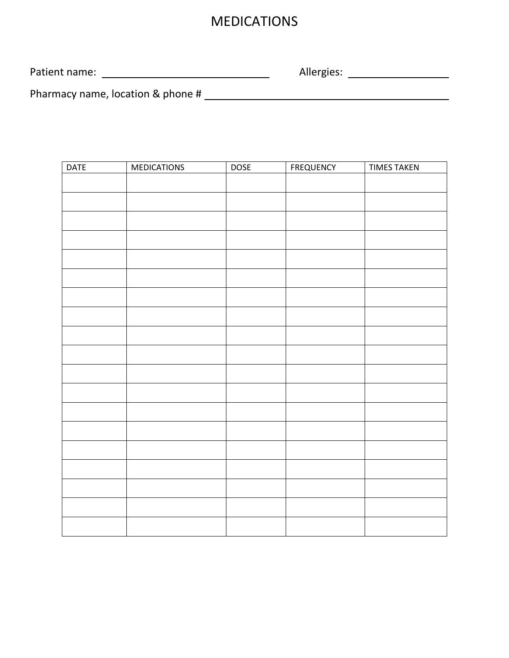# MEDICATIONS

Patient name: Allergies:

Pharmacy name, location & phone #

| <b>DATE</b> | MEDICATIONS | <b>DOSE</b> | <b>FREQUENCY</b> | <b>TIMES TAKEN</b> |
|-------------|-------------|-------------|------------------|--------------------|
|             |             |             |                  |                    |
|             |             |             |                  |                    |
|             |             |             |                  |                    |
|             |             |             |                  |                    |
|             |             |             |                  |                    |
|             |             |             |                  |                    |
|             |             |             |                  |                    |
|             |             |             |                  |                    |
|             |             |             |                  |                    |
|             |             |             |                  |                    |
|             |             |             |                  |                    |
|             |             |             |                  |                    |
|             |             |             |                  |                    |
|             |             |             |                  |                    |
|             |             |             |                  |                    |
|             |             |             |                  |                    |
|             |             |             |                  |                    |
|             |             |             |                  |                    |
|             |             |             |                  |                    |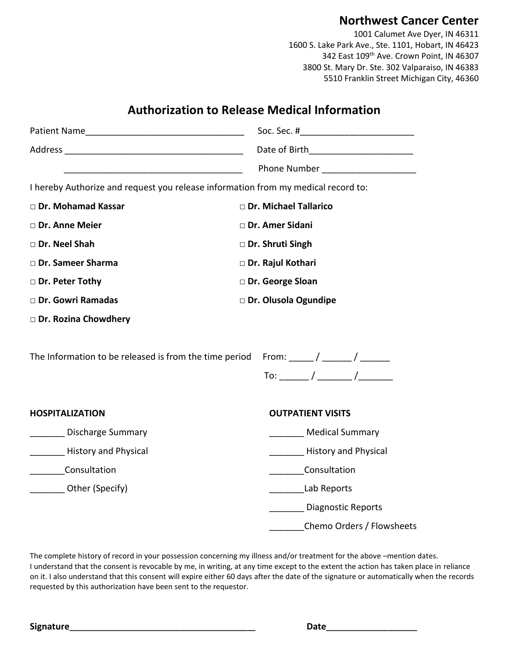## **Northwest Cancer Center**

1001 Calumet Ave Dyer, IN 46311 1600 S. Lake Park Ave., Ste. 1101, Hobart, IN 46423 342 East 109<sup>th</sup> Ave. Crown Point, IN 46307 3800 St. Mary Dr. Ste. 302 Valparaiso, IN 46383 5510 Franklin Street Michigan City, 46360

|                                                                                   | Date of Birth__________________________ |
|-----------------------------------------------------------------------------------|-----------------------------------------|
|                                                                                   | <b>Phone Number</b> Phone Number        |
| I hereby Authorize and request you release information from my medical record to: |                                         |
| □ Dr. Mohamad Kassar                                                              | Dr. Michael Tallarico                   |
| Dr. Anne Meier                                                                    | □ Dr. Amer Sidani                       |
| Dr. Neel Shah                                                                     | Dr. Shruti Singh                        |
| □ Dr. Sameer Sharma                                                               | Dr. Rajul Kothari                       |
| Dr. Peter Tothy                                                                   | Dr. George Sloan                        |
| Dr. Gowri Ramadas                                                                 | Dr. Olusola Ogundipe                    |
| Dr. Rozina Chowdhery                                                              |                                         |
| The Information to be released is from the time period                            | From: _____ / ______ / ______           |
|                                                                                   | To: ________/ ________ /_________       |
| <b>HOSPITALIZATION</b>                                                            | <b>OUTPATIENT VISITS</b>                |
| Discharge Summary                                                                 | Medical Summary                         |
| <b>History and Physical</b>                                                       | <b>History and Physical</b>             |
| Consultation                                                                      | Consultation                            |
| Other (Specify)                                                                   | Lab Reports                             |
|                                                                                   | Diagnostic Reports                      |
|                                                                                   | Chemo Orders / Flowsheets               |

**Authorization to Release Medical Information**

The complete history of record in your possession concerning my illness and/or treatment for the above –mention dates. I understand that the consent is revocable by me, in writing, at any time except to the extent the action has taken place in reliance on it. I also understand that this consent will expire either 60 days after the date of the signature or automatically when the records requested by this authorization have been sent to the requestor.

**Signature\_\_\_\_\_\_\_\_\_\_\_\_\_\_\_\_\_\_\_\_\_\_\_\_\_\_\_\_\_\_\_\_\_\_\_\_\_\_\_\_\_\_\_\_\_ Date\_\_\_\_\_\_\_\_\_\_\_\_\_\_\_\_\_\_\_\_\_\_**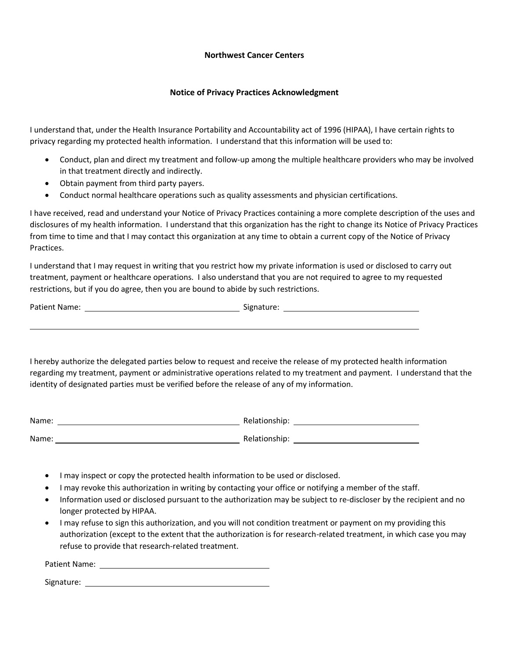## **Northwest Cancer Centers**

### **Notice of Privacy Practices Acknowledgment**

I understand that, under the Health Insurance Portability and Accountability act of 1996 (HIPAA), I have certain rights to privacy regarding my protected health information. I understand that this information will be used to:

- Conduct, plan and direct my treatment and follow-up among the multiple healthcare providers who may be involved in that treatment directly and indirectly.
- Obtain payment from third party payers.
- Conduct normal healthcare operations such as quality assessments and physician certifications.

I have received, read and understand your Notice of Privacy Practices containing a more complete description of the uses and disclosures of my health information. I understand that this organization has the right to change its Notice of Privacy Practices from time to time and that I may contact this organization at any time to obtain a current copy of the Notice of Privacy Practices.

I understand that I may request in writing that you restrict how my private information is used or disclosed to carry out treatment, payment or healthcare operations. I also understand that you are not required to agree to my requested restrictions, but if you do agree, then you are bound to abide by such restrictions.

| Patient Name: | -- | signature: |
|---------------|----|------------|
|               |    |            |

I hereby authorize the delegated parties below to request and receive the release of my protected health information regarding my treatment, payment or administrative operations related to my treatment and payment. I understand that the identity of designated parties must be verified before the release of any of my information.

| Name: | Relationship: |
|-------|---------------|
| Name: | Relationship: |

- I may inspect or copy the protected health information to be used or disclosed.
- I may revoke this authorization in writing by contacting your office or notifying a member of the staff.
- Information used or disclosed pursuant to the authorization may be subject to re-discloser by the recipient and no longer protected by HIPAA.
- I may refuse to sign this authorization, and you will not condition treatment or payment on my providing this authorization (except to the extent that the authorization is for research-related treatment, in which case you may refuse to provide that research-related treatment.

| Patient Name: |  |
|---------------|--|
|               |  |

Signature: with the state of the state of the state of the state of the state of the state of the state of the state of the state of the state of the state of the state of the state of the state of the state of the state o